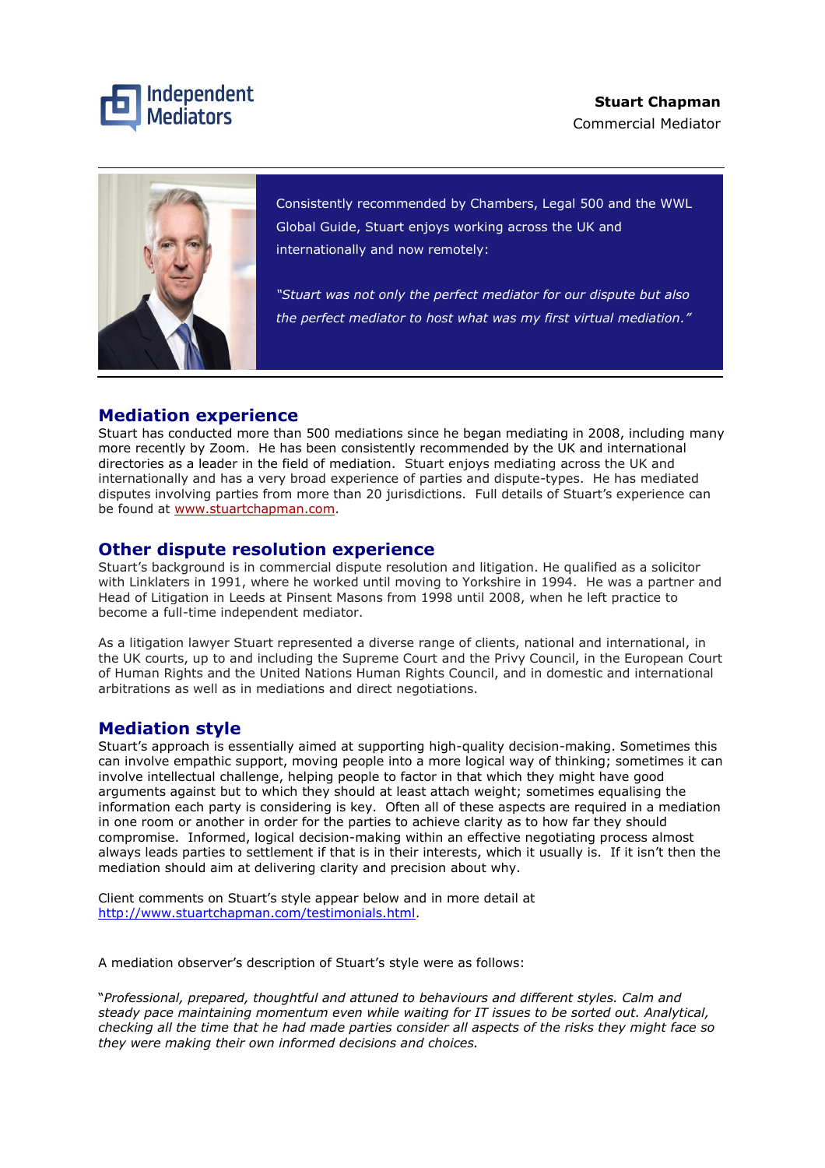



Consistently recommended by Chambers, Legal 500 and the WWL Global Guide, Stuart enjoys working across the UK and internationally and now remotely:

*"Stuart was not only the perfect mediator for our dispute but also the perfect mediator to host what was my first virtual mediation."*

### **Mediation experience**

Stuart has conducted more than 500 mediations since he began mediating in 2008, including many more recently by Zoom. He has been consistently recommended by the UK and international directories as a leader in the field of mediation. Stuart enjoys mediating across the UK and internationally and has a very broad experience of parties and dispute-types. He has mediated disputes involving parties from more than 20 jurisdictions. Full details of Stuart's experience can be found at [www.stuartchapman.com.](http://www.stuartchapman.com/)

### **Other dispute resolution experience**

Stuart's background is in commercial dispute resolution and litigation. He qualified as a solicitor with Linklaters in 1991, where he worked until moving to Yorkshire in 1994. He was a partner and Head of Litigation in Leeds at Pinsent Masons from 1998 until 2008, when he left practice to become a full-time independent mediator.

As a litigation lawyer Stuart represented a diverse range of clients, national and international, in the UK courts, up to and including the Supreme Court and the Privy Council, in the European Court of Human Rights and the United Nations Human Rights Council, and in domestic and international arbitrations as well as in mediations and direct negotiations.

# **Mediation style**

Stuart's approach is essentially aimed at supporting high-quality decision-making. Sometimes this can involve empathic support, moving people into a more logical way of thinking; sometimes it can involve intellectual challenge, helping people to factor in that which they might have good arguments against but to which they should at least attach weight; sometimes equalising the information each party is considering is key. Often all of these aspects are required in a mediation in one room or another in order for the parties to achieve clarity as to how far they should compromise. Informed, logical decision-making within an effective negotiating process almost always leads parties to settlement if that is in their interests, which it usually is. If it isn't then the mediation should aim at delivering clarity and precision about why.

Client comments on Stuart's style appear below and in more detail at [http://www.stuartchapman.com/testimonials.html.](http://www.stuartchapman.com/testimonials.html)

A mediation observer's description of Stuart's style were as follows:

"*Professional, prepared, thoughtful and attuned to behaviours and different styles. Calm and steady pace maintaining momentum even while waiting for IT issues to be sorted out. Analytical, checking all the time that he had made parties consider all aspects of the risks they might face so they were making their own informed decisions and choices.*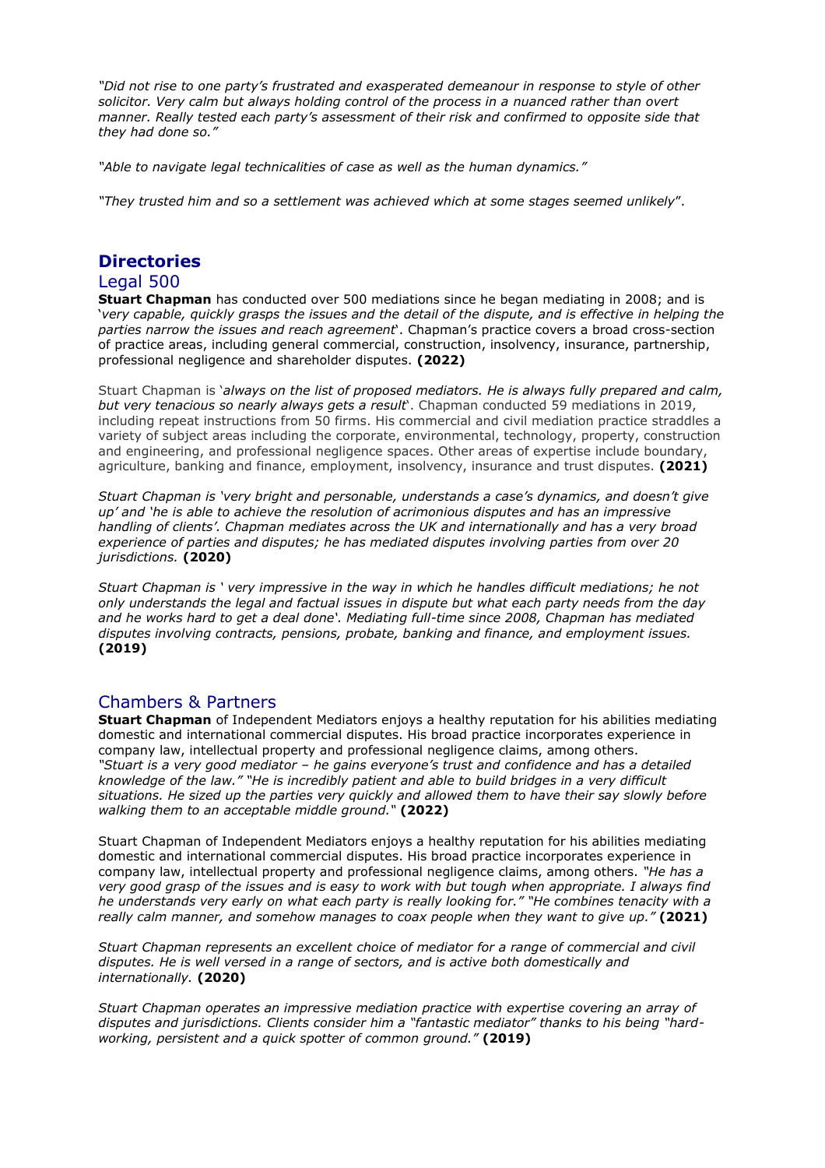*"Did not rise to one party's frustrated and exasperated demeanour in response to style of other solicitor. Very calm but always holding control of the process in a nuanced rather than overt manner. Really tested each party's assessment of their risk and confirmed to opposite side that they had done so."*

*"Able to navigate legal technicalities of case as well as the human dynamics."*

*"They trusted him and so a settlement was achieved which at some stages seemed unlikely*".

# **Directories**

### Legal 500

**Stuart Chapman** has conducted over 500 mediations since he began mediating in 2008; and is 'very capable, quickly grasps the issues and the detail of the dispute, and is effective in helping the *parties narrow the issues and reach agreement*'. Chapman's practice covers a broad cross-section of practice areas, including general commercial, construction, insolvency, insurance, partnership, professional negligence and shareholder disputes. **(2022)**

Stuart Chapman is '*always on the list of proposed mediators. He is always fully prepared and calm, but very tenacious so nearly always gets a result*'. Chapman conducted 59 mediations in 2019, including repeat instructions from 50 firms. His commercial and civil mediation practice straddles a variety of subject areas including the corporate, environmental, technology, property, construction and engineering, and professional negligence spaces. Other areas of expertise include boundary, agriculture, banking and finance, employment, insolvency, insurance and trust disputes. **(2021)**

*Stuart Chapman is 'very bright and personable, understands a case's dynamics, and doesn't give up' and 'he is able to achieve the resolution of acrimonious disputes and has an impressive handling of clients'. Chapman mediates across the UK and internationally and has a very broad experience of parties and disputes; he has mediated disputes involving parties from over 20 jurisdictions.* **(2020)** 

*Stuart Chapman is ' very impressive in the way in which he handles difficult mediations; he not only understands the legal and factual issues in dispute but what each party needs from the day and he works hard to get a deal done'. Mediating full-time since 2008, Chapman has mediated disputes involving contracts, pensions, probate, banking and finance, and employment issues.* **(2019)** 

## Chambers & Partners

**Stuart Chapman** of Independent Mediators enjoys a healthy reputation for his abilities mediating domestic and international commercial disputes. His broad practice incorporates experience in company law, intellectual property and professional negligence claims, among others. *"Stuart is a very good mediator – he gains everyone's trust and confidence and has a detailed knowledge of the law." "He is incredibly patient and able to build bridges in a very difficult situations. He sized up the parties very quickly and allowed them to have their say slowly before walking them to an acceptable middle ground."* **(2022)**

Stuart Chapman of Independent Mediators enjoys a healthy reputation for his abilities mediating domestic and international commercial disputes. His broad practice incorporates experience in company law, intellectual property and professional negligence claims, among others. *"He has a* very good grasp of the issues and is easy to work with but tough when appropriate. I always find *he understands very early on what each party is really looking for." "He combines tenacity with a really calm manner, and somehow manages to coax people when they want to give up."* **(2021)**

*Stuart Chapman represents an excellent choice of mediator for a range of commercial and civil disputes. He is well versed in a range of sectors, and is active both domestically and internationally.* **(2020)**

*Stuart Chapman operates an impressive mediation practice with expertise covering an array of disputes and jurisdictions. Clients consider him a "fantastic mediator" thanks to his being "hardworking, persistent and a quick spotter of common ground."* **(2019)**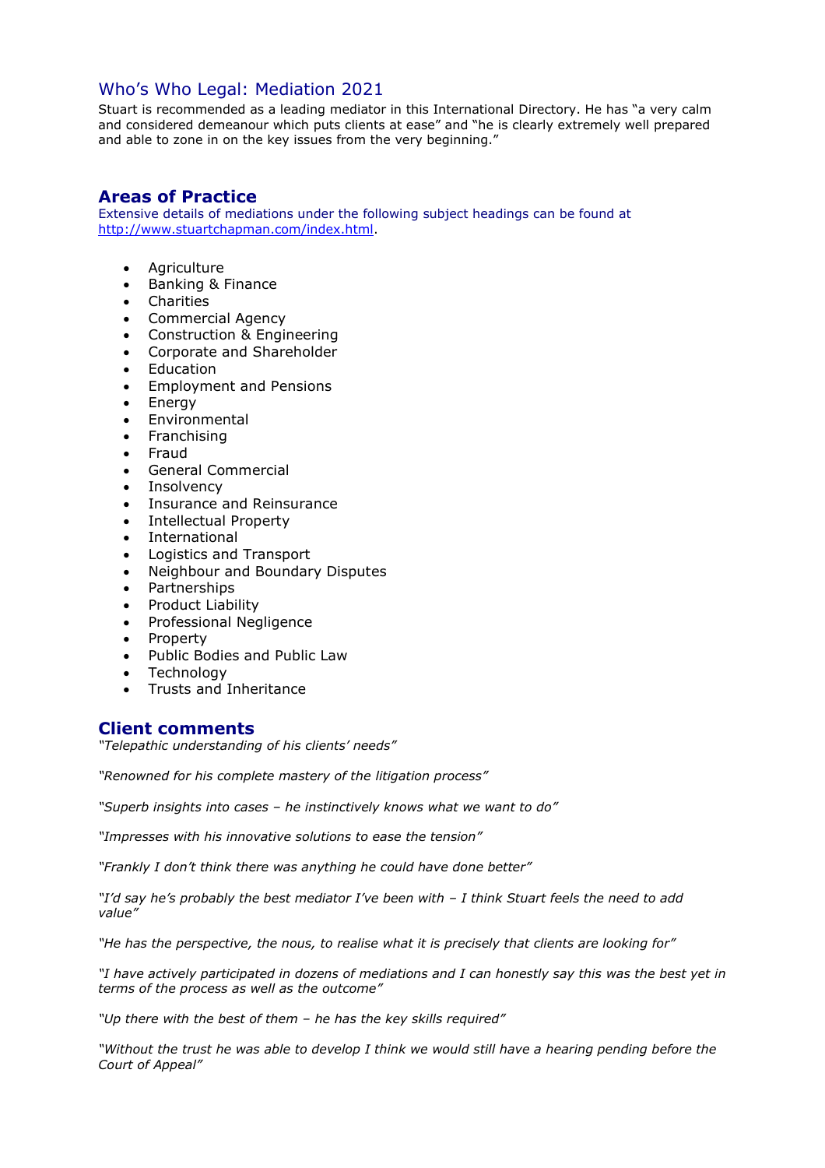## Who's Who Legal: Mediation 2021

Stuart is recommended as a leading mediator in this International Directory. He has "a very calm and considered demeanour which puts clients at ease" and "he is clearly extremely well prepared and able to zone in on the key issues from the very beginning."

### **Areas of Practice**

Extensive details of mediations under the following subject headings can be found at [http://www.stuartchapman.com/index.html.](http://www.stuartchapman.com/index.html)

- Agriculture
- Banking & Finance
- Charities
- Commercial Agency
- Construction & Engineering
- Corporate and Shareholder
- Education
- Employment and Pensions
- Energy
- Environmental
- Franchising
- Fraud
- General Commercial
- **Insolvency**
- Insurance and Reinsurance
- Intellectual Property
- International
- Logistics and Transport
- Neighbour and Boundary Disputes
- Partnerships
- Product Liability
- Professional Negligence
- Property
- Public Bodies and Public Law
- Technology
- Trusts and Inheritance

### **Client comments**

*"Telepathic understanding of his clients' needs"*

*"Renowned for his complete mastery of the litigation process"*

*"Superb insights into cases – he instinctively knows what we want to do"*

*"Impresses with his innovative solutions to ease the tension"*

*"Frankly I don't think there was anything he could have done better"*

*"I'd say he's probably the best mediator I've been with – I think Stuart feels the need to add value"* 

*"He has the perspective, the nous, to realise what it is precisely that clients are looking for"*

*"I have actively participated in dozens of mediations and I can honestly say this was the best yet in terms of the process as well as the outcome"*

*"Up there with the best of them – he has the key skills required"*

*"Without the trust he was able to develop I think we would still have a hearing pending before the Court of Appeal"*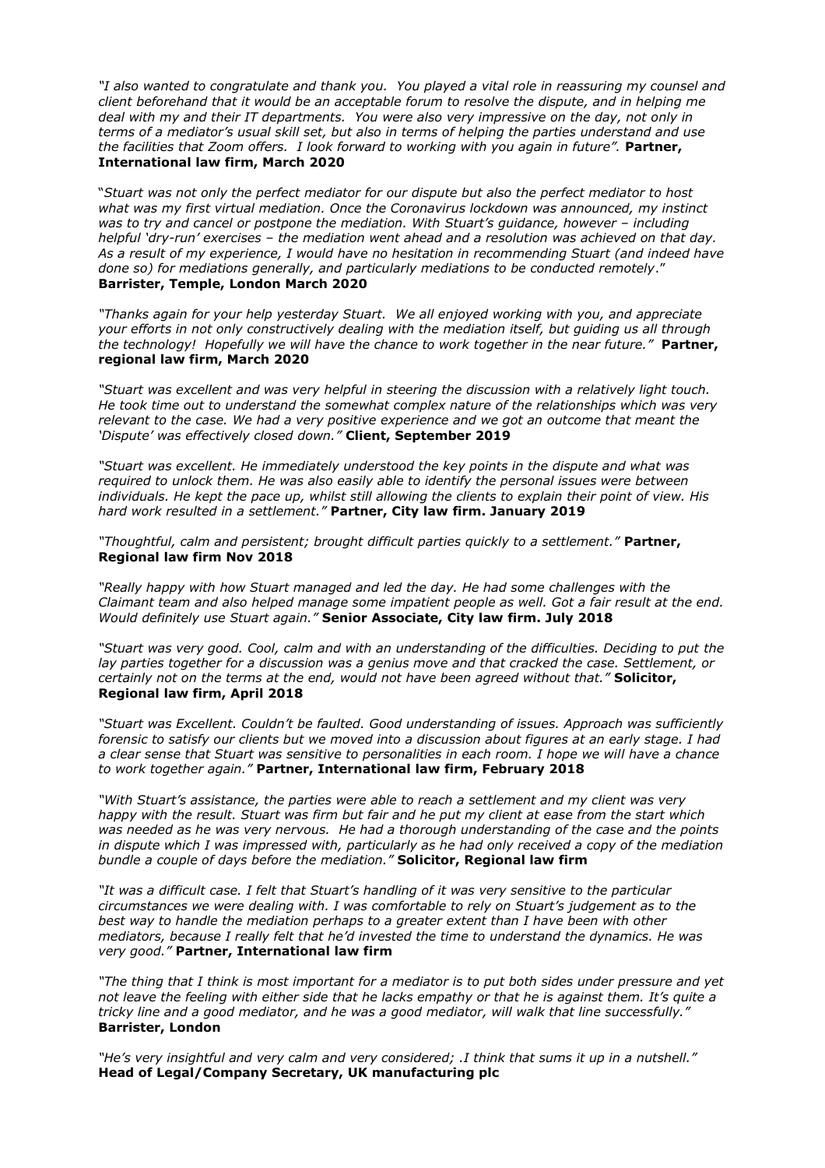*"I also wanted to congratulate and thank you. You played a vital role in reassuring my counsel and client beforehand that it would be an acceptable forum to resolve the dispute, and in helping me deal with my and their IT departments. You were also very impressive on the day, not only in terms of a mediator's usual skill set, but also in terms of helping the parties understand and use the facilities that Zoom offers. I look forward to working with you again in future".* **Partner, International law firm, March 2020**

"*Stuart was not only the perfect mediator for our dispute but also the perfect mediator to host what was my first virtual mediation. Once the Coronavirus lockdown was announced, my instinct was to try and cancel or postpone the mediation. With Stuart's guidance, however – including helpful 'dry-run' exercises – the mediation went ahead and a resolution was achieved on that day. As a result of my experience, I would have no hesitation in recommending Stuart (and indeed have done so) for mediations generally, and particularly mediations to be conducted remotely*." **Barrister, Temple, London March 2020**

*"Thanks again for your help yesterday Stuart. We all enjoyed working with you, and appreciate your efforts in not only constructively dealing with the mediation itself, but guiding us all through the technology! Hopefully we will have the chance to work together in the near future."* **Partner, regional law firm, March 2020**

*"Stuart was excellent and was very helpful in steering the discussion with a relatively light touch. He took time out to understand the somewhat complex nature of the relationships which was very relevant to the case. We had a very positive experience and we got an outcome that meant the 'Dispute' was effectively closed down."* **Client, September 2019** 

*"Stuart was excellent. He immediately understood the key points in the dispute and what was required to unlock them. He was also easily able to identify the personal issues were between individuals. He kept the pace up, whilst still allowing the clients to explain their point of view. His hard work resulted in a settlement."* **Partner, City law firm. January 2019** 

*"Thoughtful, calm and persistent; brought difficult parties quickly to a settlement."* **Partner, Regional law firm Nov 2018** 

*"Really happy with how Stuart managed and led the day. He had some challenges with the Claimant team and also helped manage some impatient people as well. Got a fair result at the end. Would definitely use Stuart again."* **Senior Associate, City law firm. July 2018** 

"Stuart was very good. Cool, calm and with an understanding of the difficulties. Deciding to put the *lay parties together for a discussion was a genius move and that cracked the case. Settlement, or certainly not on the terms at the end, would not have been agreed without that."* **Solicitor, Regional law firm, April 2018** 

*"Stuart was Excellent. Couldn't be faulted. Good understanding of issues. Approach was sufficiently forensic to satisfy our clients but we moved into a discussion about figures at an early stage. I had a clear sense that Stuart was sensitive to personalities in each room. I hope we will have a chance to work together again."* **Partner, International law firm, February 2018** 

*"With Stuart's assistance, the parties were able to reach a settlement and my client was very happy with the result. Stuart was firm but fair and he put my client at ease from the start which was needed as he was very nervous. He had a thorough understanding of the case and the points in dispute which I was impressed with, particularly as he had only received a copy of the mediation bundle a couple of days before the mediation."* **Solicitor, Regional law firm** 

*"It was a difficult case. I felt that Stuart's handling of it was very sensitive to the particular circumstances we were dealing with. I was comfortable to rely on Stuart's judgement as to the best way to handle the mediation perhaps to a greater extent than I have been with other mediators, because I really felt that he'd invested the time to understand the dynamics. He was very good."* **Partner, International law firm** 

*"The thing that I think is most important for a mediator is to put both sides under pressure and yet not leave the feeling with either side that he lacks empathy or that he is against them. It's quite a tricky line and a good mediator, and he was a good mediator, will walk that line successfully."* **Barrister, London** 

*"He's very insightful and very calm and very considered; .I think that sums it up in a nutshell."* **Head of Legal/Company Secretary, UK manufacturing plc**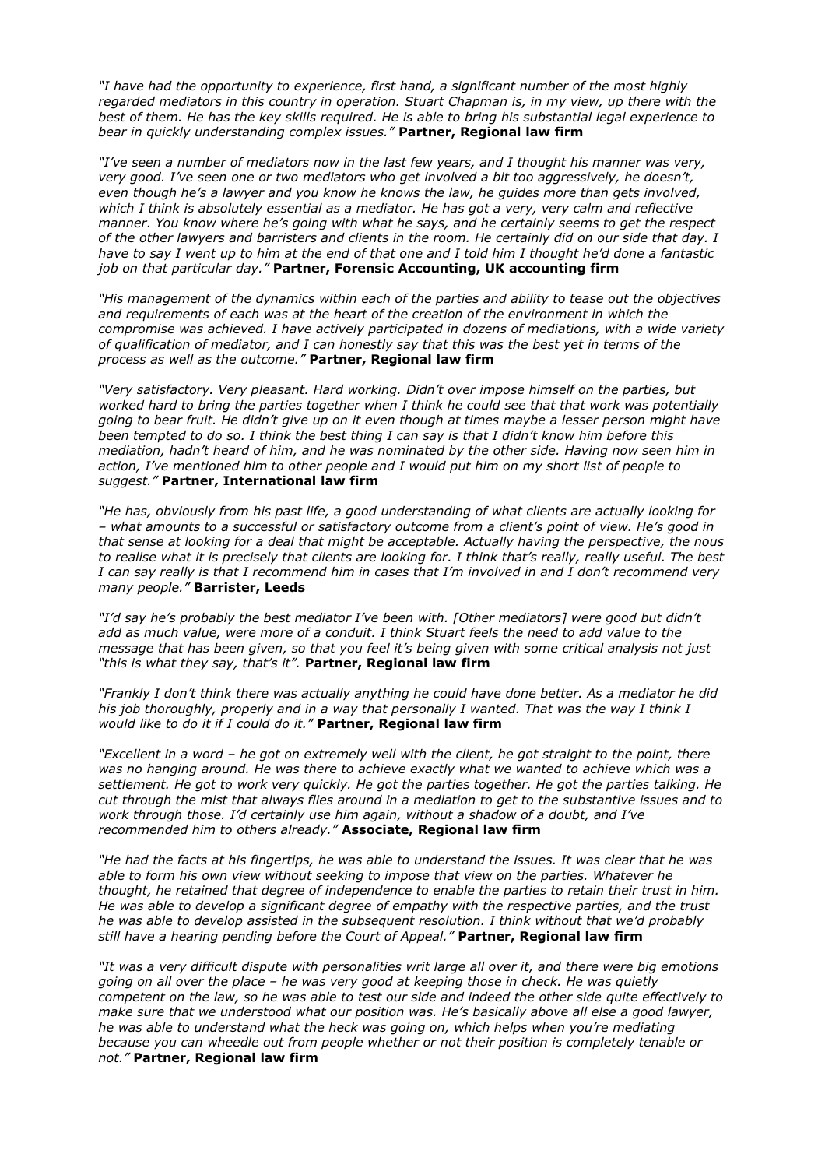*"I have had the opportunity to experience, first hand, a significant number of the most highly regarded mediators in this country in operation. Stuart Chapman is, in my view, up there with the best of them. He has the key skills required. He is able to bring his substantial legal experience to bear in quickly understanding complex issues."* **Partner, Regional law firm** 

*"I've seen a number of mediators now in the last few years, and I thought his manner was very, very good. I've seen one or two mediators who get involved a bit too aggressively, he doesn't, even though he's a lawyer and you know he knows the law, he guides more than gets involved,*  which I think is absolutely essential as a mediator. He has got a very, very calm and reflective *manner. You know where he's going with what he says, and he certainly seems to get the respect of the other lawyers and barristers and clients in the room. He certainly did on our side that day. I have to say I went up to him at the end of that one and I told him I thought he'd done a fantastic job on that particular day."* **Partner, Forensic Accounting, UK accounting firm** 

*"His management of the dynamics within each of the parties and ability to tease out the objectives and requirements of each was at the heart of the creation of the environment in which the compromise was achieved. I have actively participated in dozens of mediations, with a wide variety of qualification of mediator, and I can honestly say that this was the best yet in terms of the process as well as the outcome."* **Partner, Regional law firm** 

*"Very satisfactory. Very pleasant. Hard working. Didn't over impose himself on the parties, but worked hard to bring the parties together when I think he could see that that work was potentially going to bear fruit. He didn't give up on it even though at times maybe a lesser person might have been tempted to do so. I think the best thing I can say is that I didn't know him before this mediation, hadn't heard of him, and he was nominated by the other side. Having now seen him in action, I've mentioned him to other people and I would put him on my short list of people to suggest."* **Partner, International law firm** 

*"He has, obviously from his past life, a good understanding of what clients are actually looking for – what amounts to a successful or satisfactory outcome from a client's point of view. He's good in that sense at looking for a deal that might be acceptable. Actually having the perspective, the nous to realise what it is precisely that clients are looking for. I think that's really, really useful. The best I can say really is that I recommend him in cases that I'm involved in and I don't recommend very many people."* **Barrister, Leeds** 

*"I'd say he's probably the best mediator I've been with. [Other mediators] were good but didn't add as much value, were more of a conduit. I think Stuart feels the need to add value to the message that has been given, so that you feel it's being given with some critical analysis not just "this is what they say, that's it".* **Partner, Regional law firm** 

*"Frankly I don't think there was actually anything he could have done better. As a mediator he did his job thoroughly, properly and in a way that personally I wanted. That was the way I think I would like to do it if I could do it."* **Partner, Regional law firm** 

*"Excellent in a word – he got on extremely well with the client, he got straight to the point, there was no hanging around. He was there to achieve exactly what we wanted to achieve which was a settlement. He got to work very quickly. He got the parties together. He got the parties talking. He cut through the mist that always flies around in a mediation to get to the substantive issues and to work through those. I'd certainly use him again, without a shadow of a doubt, and I've recommended him to others already."* **Associate, Regional law firm** 

*"He had the facts at his fingertips, he was able to understand the issues. It was clear that he was able to form his own view without seeking to impose that view on the parties. Whatever he thought, he retained that degree of independence to enable the parties to retain their trust in him. He was able to develop a significant degree of empathy with the respective parties, and the trust he was able to develop assisted in the subsequent resolution. I think without that we'd probably still have a hearing pending before the Court of Appeal."* **Partner, Regional law firm** 

*"It was a very difficult dispute with personalities writ large all over it, and there were big emotions going on all over the place – he was very good at keeping those in check. He was quietly competent on the law, so he was able to test our side and indeed the other side quite effectively to make sure that we understood what our position was. He's basically above all else a good lawyer, he was able to understand what the heck was going on, which helps when you're mediating because you can wheedle out from people whether or not their position is completely tenable or not."* **Partner, Regional law firm**